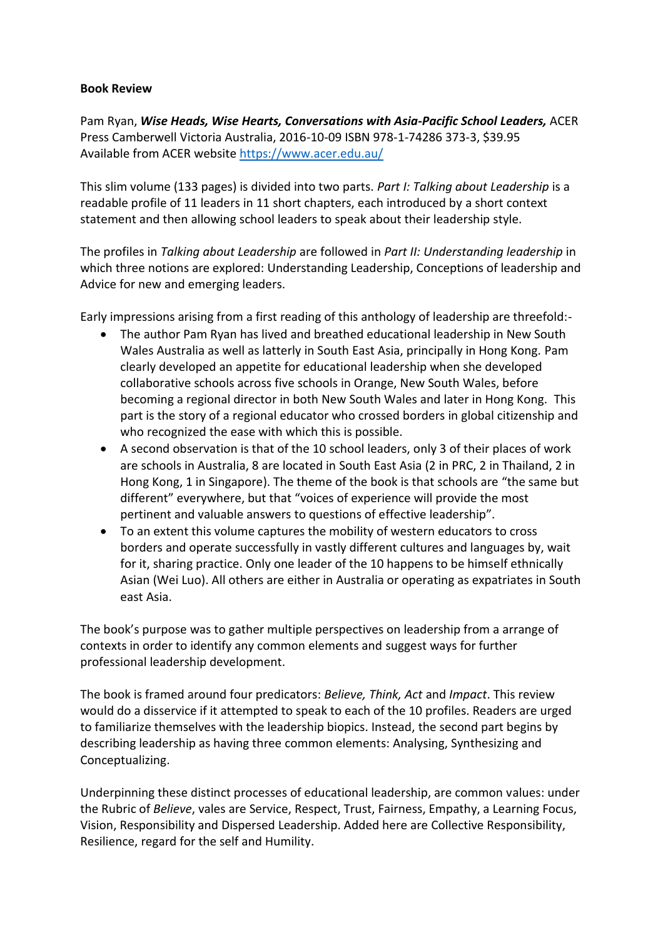## **Book Review**

Pam Ryan, *Wise Heads, Wise Hearts, Conversations with Asia-Pacific School Leaders,* ACER Press Camberwell Victoria Australia, 2016-10-09 ISBN 978-1-74286 373-3, \$39.95 Available from ACER website<https://www.acer.edu.au/>

This slim volume (133 pages) is divided into two parts. *Part I: Talking about Leadership* is a readable profile of 11 leaders in 11 short chapters, each introduced by a short context statement and then allowing school leaders to speak about their leadership style.

The profiles in *Talking about Leadership* are followed in *Part II: Understanding leadership* in which three notions are explored: Understanding Leadership, Conceptions of leadership and Advice for new and emerging leaders.

Early impressions arising from a first reading of this anthology of leadership are threefold:-

- The author Pam Ryan has lived and breathed educational leadership in New South Wales Australia as well as latterly in South East Asia, principally in Hong Kong. Pam clearly developed an appetite for educational leadership when she developed collaborative schools across five schools in Orange, New South Wales, before becoming a regional director in both New South Wales and later in Hong Kong. This part is the story of a regional educator who crossed borders in global citizenship and who recognized the ease with which this is possible.
- A second observation is that of the 10 school leaders, only 3 of their places of work are schools in Australia, 8 are located in South East Asia (2 in PRC, 2 in Thailand, 2 in Hong Kong, 1 in Singapore). The theme of the book is that schools are "the same but different" everywhere, but that "voices of experience will provide the most pertinent and valuable answers to questions of effective leadership".
- To an extent this volume captures the mobility of western educators to cross borders and operate successfully in vastly different cultures and languages by, wait for it, sharing practice. Only one leader of the 10 happens to be himself ethnically Asian (Wei Luo). All others are either in Australia or operating as expatriates in South east Asia.

The book's purpose was to gather multiple perspectives on leadership from a arrange of contexts in order to identify any common elements and suggest ways for further professional leadership development.

The book is framed around four predicators: *Believe, Think, Act* and *Impact*. This review would do a disservice if it attempted to speak to each of the 10 profiles. Readers are urged to familiarize themselves with the leadership biopics. Instead, the second part begins by describing leadership as having three common elements: Analysing, Synthesizing and Conceptualizing.

Underpinning these distinct processes of educational leadership, are common values: under the Rubric of *Believe*, vales are Service, Respect, Trust, Fairness, Empathy, a Learning Focus, Vision, Responsibility and Dispersed Leadership. Added here are Collective Responsibility, Resilience, regard for the self and Humility.